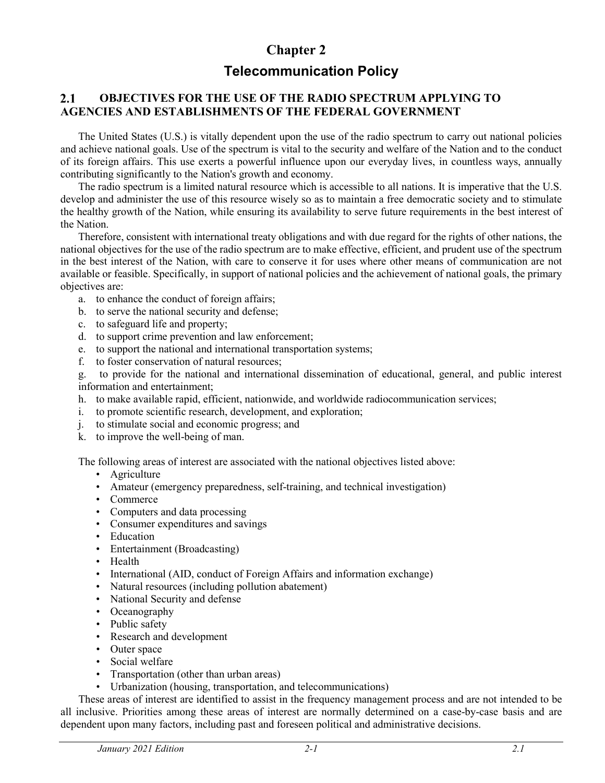# **Chapter 2**

# **Telecommunication Policy**

#### $2.1$ **OBJECTIVES FOR THE USE OF THE RADIO SPECTRUM APPLYING TO AGENCIES AND ESTABLISHMENTS OF THE FEDERAL GOVERNMENT**

The United States (U.S.) is vitally dependent upon the use of the radio spectrum to carry out national policies and achieve national goals. Use of the spectrum is vital to the security and welfare of the Nation and to the conduct of its foreign affairs. This use exerts a powerful influence upon our everyday lives, in countless ways, annually contributing significantly to the Nation's growth and economy.

The radio spectrum is a limited natural resource which is accessible to all nations. It is imperative that the U.S. develop and administer the use of this resource wisely so as to maintain a free democratic society and to stimulate the healthy growth of the Nation, while ensuring its availability to serve future requirements in the best interest of the Nation.

Therefore, consistent with international treaty obligations and with due regard for the rights of other nations, the national objectives for the use of the radio spectrum are to make effective, efficient, and prudent use of the spectrum in the best interest of the Nation, with care to conserve it for uses where other means of communication are not available or feasible. Specifically, in support of national policies and the achievement of national goals, the primary objectives are:

- a. to enhance the conduct of foreign affairs;
- b. to serve the national security and defense;
- c. to safeguard life and property;
- d. to support crime prevention and law enforcement;
- e. to support the national and international transportation systems;
- f. to foster conservation of natural resources;

g. to provide for the national and international dissemination of educational, general, and public interest information and entertainment;

- h. to make available rapid, efficient, nationwide, and worldwide radiocommunication services;
- i. to promote scientific research, development, and exploration;
- j. to stimulate social and economic progress; and
- k. to improve the well-being of man.

The following areas of interest are associated with the national objectives listed above:

- Agriculture
- Amateur (emergency preparedness, self-training, and technical investigation)
- Commerce
- Computers and data processing
- Consumer expenditures and savings
- Education
- Entertainment (Broadcasting)
- Health
- International (AID, conduct of Foreign Affairs and information exchange)
- Natural resources (including pollution abatement)
- National Security and defense
- Oceanography
- Public safety
- Research and development
- Outer space
- Social welfare
- Transportation (other than urban areas)
- Urbanization (housing, transportation, and telecommunications)

These areas of interest are identified to assist in the frequency management process and are not intended to be all inclusive. Priorities among these areas of interest are normally determined on a case-by-case basis and are dependent upon many factors, including past and foreseen political and administrative decisions.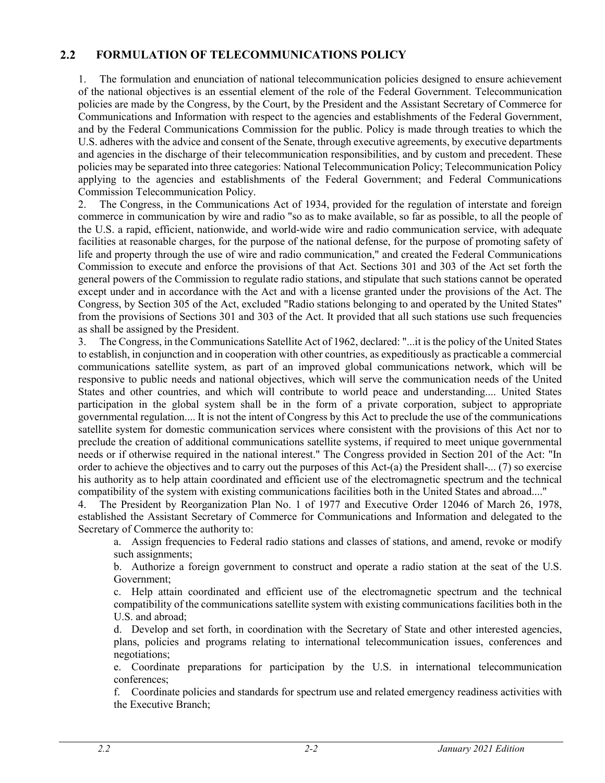#### $2.2$ **FORMULATION OF TELECOMMUNICATIONS POLICY**

1. The formulation and enunciation of national telecommunication policies designed to ensure achievement of the national objectives is an essential element of the role of the Federal Government. Telecommunication policies are made by the Congress, by the Court, by the President and the Assistant Secretary of Commerce for Communications and Information with respect to the agencies and establishments of the Federal Government, and by the Federal Communications Commission for the public. Policy is made through treaties to which the U.S. adheres with the advice and consent of the Senate, through executive agreements, by executive departments and agencies in the discharge of their telecommunication responsibilities, and by custom and precedent. These policies may be separated into three categories: National Telecommunication Policy; Telecommunication Policy applying to the agencies and establishments of the Federal Government; and Federal Communications Commission Telecommunication Policy.

2. The Congress, in the Communications Act of 1934, provided for the regulation of interstate and foreign commerce in communication by wire and radio "so as to make available, so far as possible, to all the people of the U.S. a rapid, efficient, nationwide, and world-wide wire and radio communication service, with adequate facilities at reasonable charges, for the purpose of the national defense, for the purpose of promoting safety of life and property through the use of wire and radio communication," and created the Federal Communications Commission to execute and enforce the provisions of that Act. Sections 301 and 303 of the Act set forth the general powers of the Commission to regulate radio stations, and stipulate that such stations cannot be operated except under and in accordance with the Act and with a license granted under the provisions of the Act. The Congress, by Section 305 of the Act, excluded "Radio stations belonging to and operated by the United States" from the provisions of Sections 301 and 303 of the Act. It provided that all such stations use such frequencies as shall be assigned by the President.

3. The Congress, in the Communications Satellite Act of 1962, declared: "...it is the policy of the United States to establish, in conjunction and in cooperation with other countries, as expeditiously as practicable a commercial communications satellite system, as part of an improved global communications network, which will be responsive to public needs and national objectives, which will serve the communication needs of the United States and other countries, and which will contribute to world peace and understanding.... United States participation in the global system shall be in the form of a private corporation, subject to appropriate governmental regulation.... It is not the intent of Congress by this Act to preclude the use of the communications satellite system for domestic communication services where consistent with the provisions of this Act nor to preclude the creation of additional communications satellite systems, if required to meet unique governmental needs or if otherwise required in the national interest." The Congress provided in Section 201 of the Act: "In order to achieve the objectives and to carry out the purposes of this Act-(a) the President shall-... (7) so exercise his authority as to help attain coordinated and efficient use of the electromagnetic spectrum and the technical compatibility of the system with existing communications facilities both in the United States and abroad...."

4. The President by Reorganization Plan No. 1 of 1977 and Executive Order 12046 of March 26, 1978, established the Assistant Secretary of Commerce for Communications and Information and delegated to the Secretary of Commerce the authority to:

a. Assign frequencies to Federal radio stations and classes of stations, and amend, revoke or modify such assignments;

b. Authorize a foreign government to construct and operate a radio station at the seat of the U.S. Government;

c. Help attain coordinated and efficient use of the electromagnetic spectrum and the technical compatibility of the communications satellite system with existing communications facilities both in the U.S. and abroad;

d. Develop and set forth, in coordination with the Secretary of State and other interested agencies, plans, policies and programs relating to international telecommunication issues, conferences and negotiations;

e. Coordinate preparations for participation by the U.S. in international telecommunication conferences;

f. Coordinate policies and standards for spectrum use and related emergency readiness activities with the Executive Branch;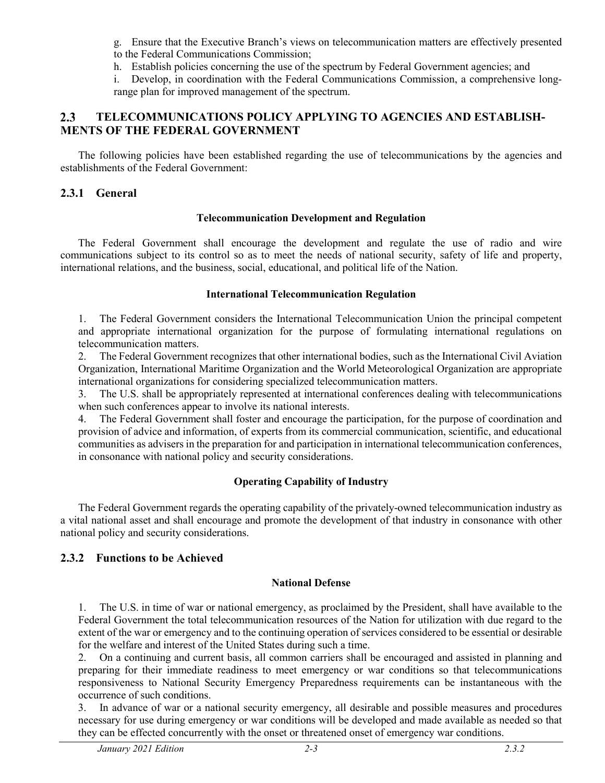g. Ensure that the Executive Branch's views on telecommunication matters are effectively presented to the Federal Communications Commission;

h. Establish policies concerning the use of the spectrum by Federal Government agencies; and

i. Develop, in coordination with the Federal Communications Commission, a comprehensive longrange plan for improved management of the spectrum.

#### **TELECOMMUNICATIONS POLICY APPLYING TO AGENCIES AND ESTABLISH-** $2.3$ **MENTS OF THE FEDERAL GOVERNMENT**

The following policies have been established regarding the use of telecommunications by the agencies and establishments of the Federal Government:

### **2.3.1 General**

#### **Telecommunication Development and Regulation**

The Federal Government shall encourage the development and regulate the use of radio and wire communications subject to its control so as to meet the needs of national security, safety of life and property, international relations, and the business, social, educational, and political life of the Nation.

#### **International Telecommunication Regulation**

1. The Federal Government considers the International Telecommunication Union the principal competent and appropriate international organization for the purpose of formulating international regulations on telecommunication matters.

2. The Federal Government recognizes that other international bodies, such as the International Civil Aviation Organization, International Maritime Organization and the World Meteorological Organization are appropriate international organizations for considering specialized telecommunication matters.

3. The U.S. shall be appropriately represented at international conferences dealing with telecommunications when such conferences appear to involve its national interests.

4. The Federal Government shall foster and encourage the participation, for the purpose of coordination and provision of advice and information, of experts from its commercial communication, scientific, and educational communities as advisers in the preparation for and participation in international telecommunication conferences, in consonance with national policy and security considerations.

### **Operating Capability of Industry**

The Federal Government regards the operating capability of the privately-owned telecommunication industry as a vital national asset and shall encourage and promote the development of that industry in consonance with other national policy and security considerations.

### **2.3.2 Functions to be Achieved**

### **National Defense**

1. The U.S. in time of war or national emergency, as proclaimed by the President, shall have available to the Federal Government the total telecommunication resources of the Nation for utilization with due regard to the extent of the war or emergency and to the continuing operation of services considered to be essential or desirable for the welfare and interest of the United States during such a time.

2. On a continuing and current basis, all common carriers shall be encouraged and assisted in planning and preparing for their immediate readiness to meet emergency or war conditions so that telecommunications responsiveness to National Security Emergency Preparedness requirements can be instantaneous with the occurrence of such conditions.

3. In advance of war or a national security emergency, all desirable and possible measures and procedures necessary for use during emergency or war conditions will be developed and made available as needed so that they can be effected concurrently with the onset or threatened onset of emergency war conditions.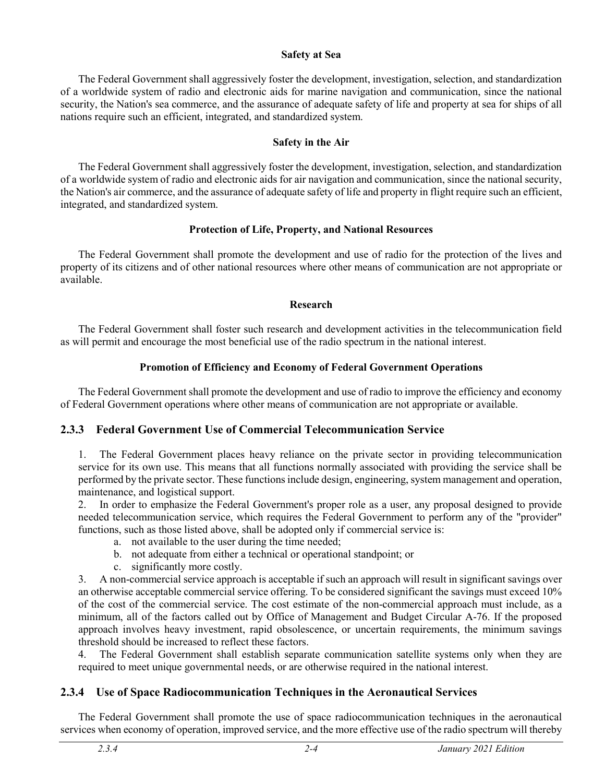#### **Safety at Sea**

The Federal Government shall aggressively foster the development, investigation, selection, and standardization of a worldwide system of radio and electronic aids for marine navigation and communication, since the national security, the Nation's sea commerce, and the assurance of adequate safety of life and property at sea for ships of all nations require such an efficient, integrated, and standardized system.

#### **Safety in the Air**

The Federal Government shall aggressively foster the development, investigation, selection, and standardization of a worldwide system of radio and electronic aids for air navigation and communication, since the national security, the Nation's air commerce, and the assurance of adequate safety of life and property in flight require such an efficient, integrated, and standardized system.

#### **Protection of Life, Property, and National Resources**

The Federal Government shall promote the development and use of radio for the protection of the lives and property of its citizens and of other national resources where other means of communication are not appropriate or available.

#### **Research**

The Federal Government shall foster such research and development activities in the telecommunication field as will permit and encourage the most beneficial use of the radio spectrum in the national interest.

### **Promotion of Efficiency and Economy of Federal Government Operations**

The Federal Government shall promote the development and use of radio to improve the efficiency and economy of Federal Government operations where other means of communication are not appropriate or available.

### **2.3.3 Federal Government Use of Commercial Telecommunication Service**

1. The Federal Government places heavy reliance on the private sector in providing telecommunication service for its own use. This means that all functions normally associated with providing the service shall be performed by the private sector. These functions include design, engineering, system management and operation, maintenance, and logistical support.

2. In order to emphasize the Federal Government's proper role as a user, any proposal designed to provide needed telecommunication service, which requires the Federal Government to perform any of the "provider" functions, such as those listed above, shall be adopted only if commercial service is:

- a. not available to the user during the time needed;
- b. not adequate from either a technical or operational standpoint; or
- c. significantly more costly.

3. A non-commercial service approach is acceptable if such an approach will result in significant savings over an otherwise acceptable commercial service offering. To be considered significant the savings must exceed 10% of the cost of the commercial service. The cost estimate of the non-commercial approach must include, as a minimum, all of the factors called out by Office of Management and Budget Circular A-76. If the proposed approach involves heavy investment, rapid obsolescence, or uncertain requirements, the minimum savings threshold should be increased to reflect these factors.

4. The Federal Government shall establish separate communication satellite systems only when they are required to meet unique governmental needs, or are otherwise required in the national interest.

### **2.3.4 Use of Space Radiocommunication Techniques in the Aeronautical Services**

The Federal Government shall promote the use of space radiocommunication techniques in the aeronautical services when economy of operation, improved service, and the more effective use of the radio spectrum will thereby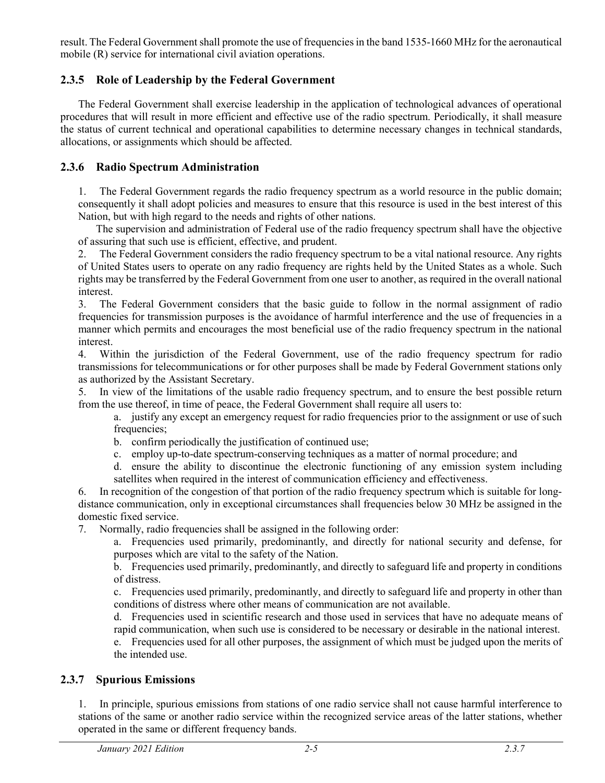result. The Federal Government shall promote the use of frequencies in the band 1535-1660 MHz for the aeronautical mobile (R) service for international civil aviation operations.

# **2.3.5 Role of Leadership by the Federal Government**

The Federal Government shall exercise leadership in the application of technological advances of operational procedures that will result in more efficient and effective use of the radio spectrum. Periodically, it shall measure the status of current technical and operational capabilities to determine necessary changes in technical standards, allocations, or assignments which should be affected.

# **2.3.6 Radio Spectrum Administration**

1. The Federal Government regards the radio frequency spectrum as a world resource in the public domain; consequently it shall adopt policies and measures to ensure that this resource is used in the best interest of this Nation, but with high regard to the needs and rights of other nations.

The supervision and administration of Federal use of the radio frequency spectrum shall have the objective of assuring that such use is efficient, effective, and prudent.

2. The Federal Government considers the radio frequency spectrum to be a vital national resource. Any rights of United States users to operate on any radio frequency are rights held by the United States as a whole. Such rights may be transferred by the Federal Government from one user to another, as required in the overall national interest.

3. The Federal Government considers that the basic guide to follow in the normal assignment of radio frequencies for transmission purposes is the avoidance of harmful interference and the use of frequencies in a manner which permits and encourages the most beneficial use of the radio frequency spectrum in the national interest.

4. Within the jurisdiction of the Federal Government, use of the radio frequency spectrum for radio transmissions for telecommunications or for other purposes shall be made by Federal Government stations only as authorized by the Assistant Secretary.

5. In view of the limitations of the usable radio frequency spectrum, and to ensure the best possible return from the use thereof, in time of peace, the Federal Government shall require all users to:

a. justify any except an emergency request for radio frequencies prior to the assignment or use of such frequencies;

- b. confirm periodically the justification of continued use;
- c. employ up-to-date spectrum-conserving techniques as a matter of normal procedure; and

d. ensure the ability to discontinue the electronic functioning of any emission system including satellites when required in the interest of communication efficiency and effectiveness.

6. In recognition of the congestion of that portion of the radio frequency spectrum which is suitable for longdistance communication, only in exceptional circumstances shall frequencies below 30 MHz be assigned in the domestic fixed service.

7. Normally, radio frequencies shall be assigned in the following order:

a. Frequencies used primarily, predominantly, and directly for national security and defense, for purposes which are vital to the safety of the Nation.

b. Frequencies used primarily, predominantly, and directly to safeguard life and property in conditions of distress.

c. Frequencies used primarily, predominantly, and directly to safeguard life and property in other than conditions of distress where other means of communication are not available.

d. Frequencies used in scientific research and those used in services that have no adequate means of rapid communication, when such use is considered to be necessary or desirable in the national interest.

e. Frequencies used for all other purposes, the assignment of which must be judged upon the merits of the intended use.

# **2.3.7 Spurious Emissions**

1. In principle, spurious emissions from stations of one radio service shall not cause harmful interference to stations of the same or another radio service within the recognized service areas of the latter stations, whether operated in the same or different frequency bands.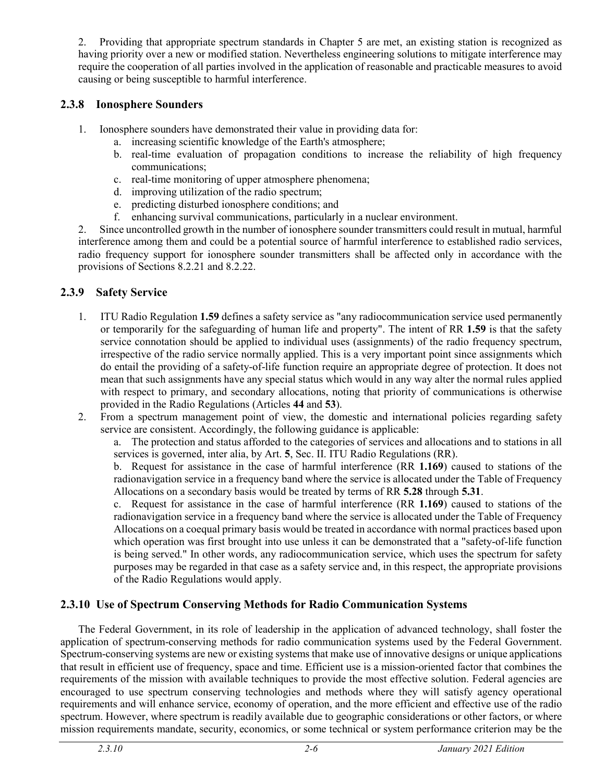2. Providing that appropriate spectrum standards in Chapter 5 are met, an existing station is recognized as having priority over a new or modified station. Nevertheless engineering solutions to mitigate interference may require the cooperation of all parties involved in the application of reasonable and practicable measures to avoid causing or being susceptible to harmful interference.

# **2.3.8 Ionosphere Sounders**

- 1. Ionosphere sounders have demonstrated their value in providing data for:
	- a. increasing scientific knowledge of the Earth's atmosphere;
	- b. real-time evaluation of propagation conditions to increase the reliability of high frequency communications;
	- c. real-time monitoring of upper atmosphere phenomena;
	- d. improving utilization of the radio spectrum;
	- e. predicting disturbed ionosphere conditions; and
	- f. enhancing survival communications, particularly in a nuclear environment.

2. Since uncontrolled growth in the number of ionosphere sounder transmitters could result in mutual, harmful interference among them and could be a potential source of harmful interference to established radio services, radio frequency support for ionosphere sounder transmitters shall be affected only in accordance with the provisions of Sections 8.2.21 and 8.2.22.

# **2.3.9 Safety Service**

- 1. ITU Radio Regulation **1.59** defines a safety service as "any radiocommunication service used permanently or temporarily for the safeguarding of human life and property". The intent of RR **1.59** is that the safety service connotation should be applied to individual uses (assignments) of the radio frequency spectrum, irrespective of the radio service normally applied. This is a very important point since assignments which do entail the providing of a safety-of-life function require an appropriate degree of protection. It does not mean that such assignments have any special status which would in any way alter the normal rules applied with respect to primary, and secondary allocations, noting that priority of communications is otherwise provided in the Radio Regulations (Articles **44** and **53**).
- 2. From a spectrum management point of view, the domestic and international policies regarding safety service are consistent. Accordingly, the following guidance is applicable:

a. The protection and status afforded to the categories of services and allocations and to stations in all services is governed, inter alia, by Art. **5**, Sec. II. ITU Radio Regulations (RR).

b. Request for assistance in the case of harmful interference (RR **1.169**) caused to stations of the radionavigation service in a frequency band where the service is allocated under the Table of Frequency Allocations on a secondary basis would be treated by terms of RR **5.28** through **5.31**.

c. Request for assistance in the case of harmful interference (RR **1.169**) caused to stations of the radionavigation service in a frequency band where the service is allocated under the Table of Frequency Allocations on a coequal primary basis would be treated in accordance with normal practices based upon which operation was first brought into use unless it can be demonstrated that a "safety-of-life function is being served." In other words, any radiocommunication service, which uses the spectrum for safety purposes may be regarded in that case as a safety service and, in this respect, the appropriate provisions of the Radio Regulations would apply.

# **2.3.10 Use of Spectrum Conserving Methods for Radio Communication Systems**

The Federal Government, in its role of leadership in the application of advanced technology, shall foster the application of spectrum-conserving methods for radio communication systems used by the Federal Government. Spectrum-conserving systems are new or existing systems that make use of innovative designs or unique applications that result in efficient use of frequency, space and time. Efficient use is a mission-oriented factor that combines the requirements of the mission with available techniques to provide the most effective solution. Federal agencies are encouraged to use spectrum conserving technologies and methods where they will satisfy agency operational requirements and will enhance service, economy of operation, and the more efficient and effective use of the radio spectrum. However, where spectrum is readily available due to geographic considerations or other factors, or where mission requirements mandate, security, economics, or some technical or system performance criterion may be the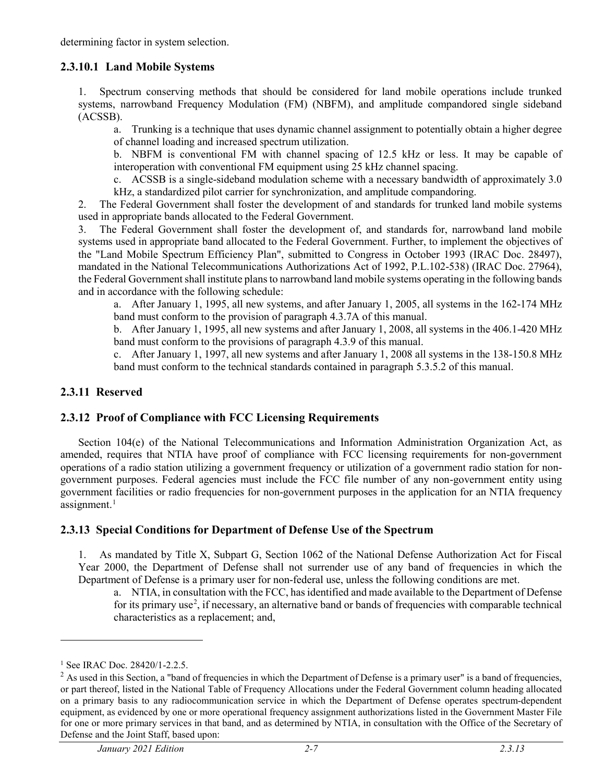determining factor in system selection.

# **2.3.10.1 Land Mobile Systems**

1. Spectrum conserving methods that should be considered for land mobile operations include trunked systems, narrowband Frequency Modulation (FM) (NBFM), and amplitude compandored single sideband (ACSSB).

a. Trunking is a technique that uses dynamic channel assignment to potentially obtain a higher degree of channel loading and increased spectrum utilization.

b. NBFM is conventional FM with channel spacing of 12.5 kHz or less. It may be capable of interoperation with conventional FM equipment using 25 kHz channel spacing.

c. ACSSB is a single-sideband modulation scheme with a necessary bandwidth of approximately 3.0 kHz, a standardized pilot carrier for synchronization, and amplitude compandoring.

2. The Federal Government shall foster the development of and standards for trunked land mobile systems used in appropriate bands allocated to the Federal Government.

3. The Federal Government shall foster the development of, and standards for, narrowband land mobile systems used in appropriate band allocated to the Federal Government. Further, to implement the objectives of the "Land Mobile Spectrum Efficiency Plan", submitted to Congress in October 1993 (IRAC Doc. 28497), mandated in the National Telecommunications Authorizations Act of 1992, P.L.102-538) (IRAC Doc. 27964), the Federal Government shall institute plans to narrowband land mobile systems operating in the following bands and in accordance with the following schedule:

a. After January 1, 1995, all new systems, and after January 1, 2005, all systems in the 162-174 MHz band must conform to the provision of paragraph 4.3.7A of this manual.

b. After January 1, 1995, all new systems and after January 1, 2008, all systems in the 406.1-420 MHz band must conform to the provisions of paragraph 4.3.9 of this manual.

c. After January 1, 1997, all new systems and after January 1, 2008 all systems in the 138-150.8 MHz band must conform to the technical standards contained in paragraph 5.3.5.2 of this manual.

# **2.3.11 Reserved**

# **2.3.12 Proof of Compliance with FCC Licensing Requirements**

Section 104(e) of the National Telecommunications and Information Administration Organization Act, as amended, requires that NTIA have proof of compliance with FCC licensing requirements for non-government operations of a radio station utilizing a government frequency or utilization of a government radio station for nongovernment purposes. Federal agencies must include the FCC file number of any non-government entity using government facilities or radio frequencies for non-government purposes in the application for an NTIA frequency assignment. $1$ 

# **2.3.13 Special Conditions for Department of Defense Use of the Spectrum**

1. As mandated by Title X, Subpart G, Section 1062 of the National Defense Authorization Act for Fiscal Year 2000, the Department of Defense shall not surrender use of any band of frequencies in which the Department of Defense is a primary user for non-federal use, unless the following conditions are met.

a. NTIA, in consultation with the FCC, has identified and made available to the Department of Defense for its primary use<sup>[2](#page-6-1)</sup>, if necessary, an alternative band or bands of frequencies with comparable technical characteristics as a replacement; and,

 $\overline{a}$ 

<span id="page-6-0"></span><sup>&</sup>lt;sup>1</sup> See IRAC Doc. 28420/1-2.2.5.

<span id="page-6-1"></span> $2$  As used in this Section, a "band of frequencies in which the Department of Defense is a primary user" is a band of frequencies, or part thereof, listed in the National Table of Frequency Allocations under the Federal Government column heading allocated on a primary basis to any radiocommunication service in which the Department of Defense operates spectrum-dependent equipment, as evidenced by one or more operational frequency assignment authorizations listed in the Government Master File for one or more primary services in that band, and as determined by NTIA, in consultation with the Office of the Secretary of Defense and the Joint Staff, based upon: